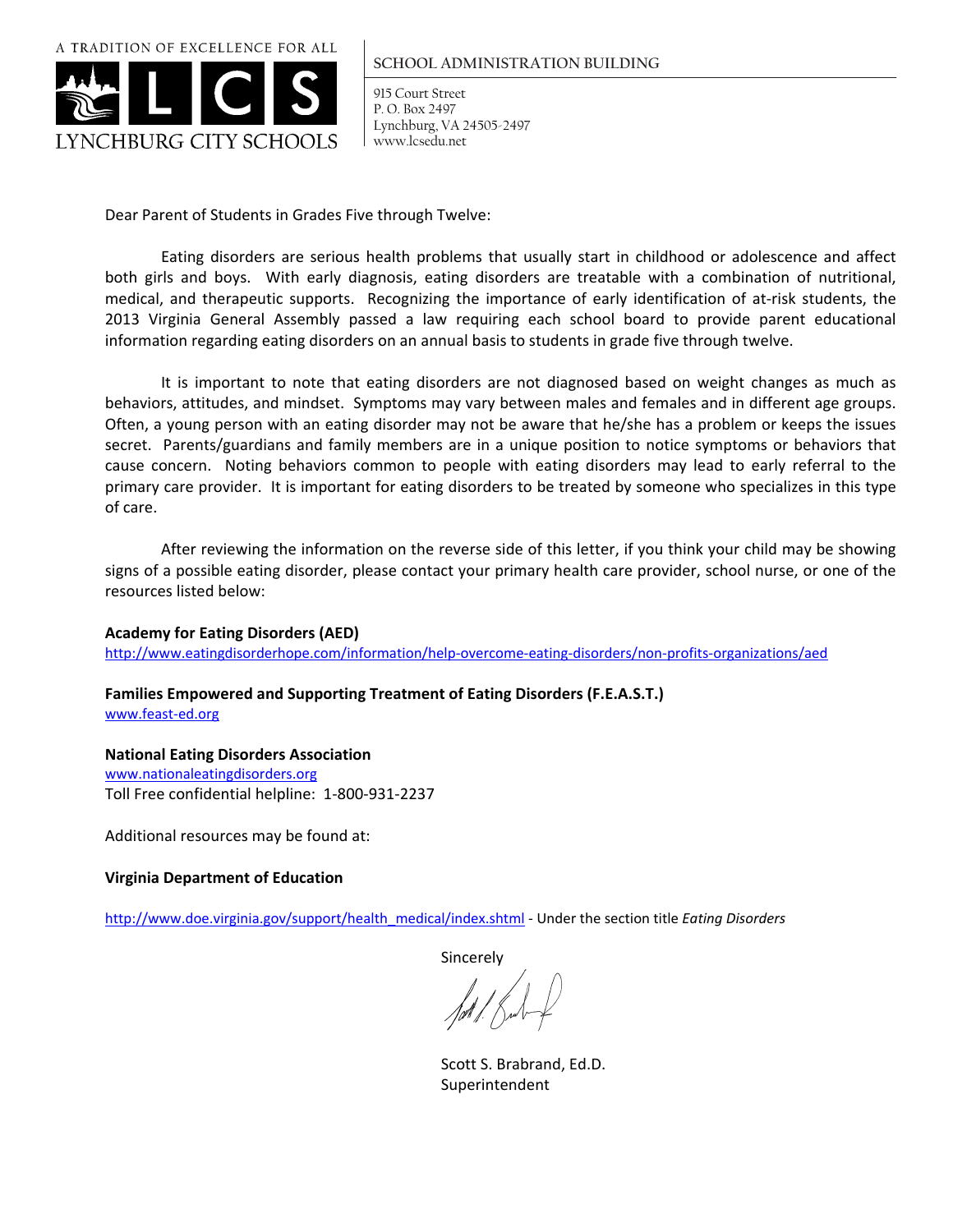A TRADITION OF EXCELLENCE FOR ALL



#### **SCHOOL ADMINISTRATION BUILDING**

915 Court Street P. O. Box 2497 Lynchburg, VA 24505-2497 www.lcsedu.net

Dear Parent of Students in Grades Five through Twelve:

 Eating disorders are serious health problems that usually start in childhood or adolescence and affect both girls and boys. With early diagnosis, eating disorders are treatable with a combination of nutritional, medical, and therapeutic supports. Recognizing the importance of early identification of at-risk students, the 2013 Virginia General Assembly passed a law requiring each school board to provide parent educational information regarding eating disorders on an annual basis to students in grade five through twelve.

 It is important to note that eating disorders are not diagnosed based on weight changes as much as behaviors, attitudes, and mindset. Symptoms may vary between males and females and in different age groups. Often, a young person with an eating disorder may not be aware that he/she has a problem or keeps the issues secret. Parents/guardians and family members are in a unique position to notice symptoms or behaviors that cause concern. Noting behaviors common to people with eating disorders may lead to early referral to the primary care provider. It is important for eating disorders to be treated by someone who specializes in this type of care.

 After reviewing the information on the reverse side of this letter, if you think your child may be showing signs of a possible eating disorder, please contact your primary health care provider, school nurse, or one of the resources listed below:

**Academy for Eating Disorders (AED)**

http://www.eatingdisorderhope.com/information/help‐overcome‐eating‐disorders/non‐profits‐organizations/aed

**Families Empowered and Supporting Treatment of Eating Disorders (F.E.A.S.T.)** www.feast‐ed.org

#### **National Eating Disorders Association**

www.nationaleatingdisorders.org Toll Free confidential helpline: 1‐800‐931‐2237

Additional resources may be found at:

### **Virginia Department of Education**

http://www.doe.virginia.gov/support/health\_medical/index.shtml ‐ Under the section title *Eating Disorders*

Sincerely

 Scott S. Brabrand, Ed.D. Superintendent